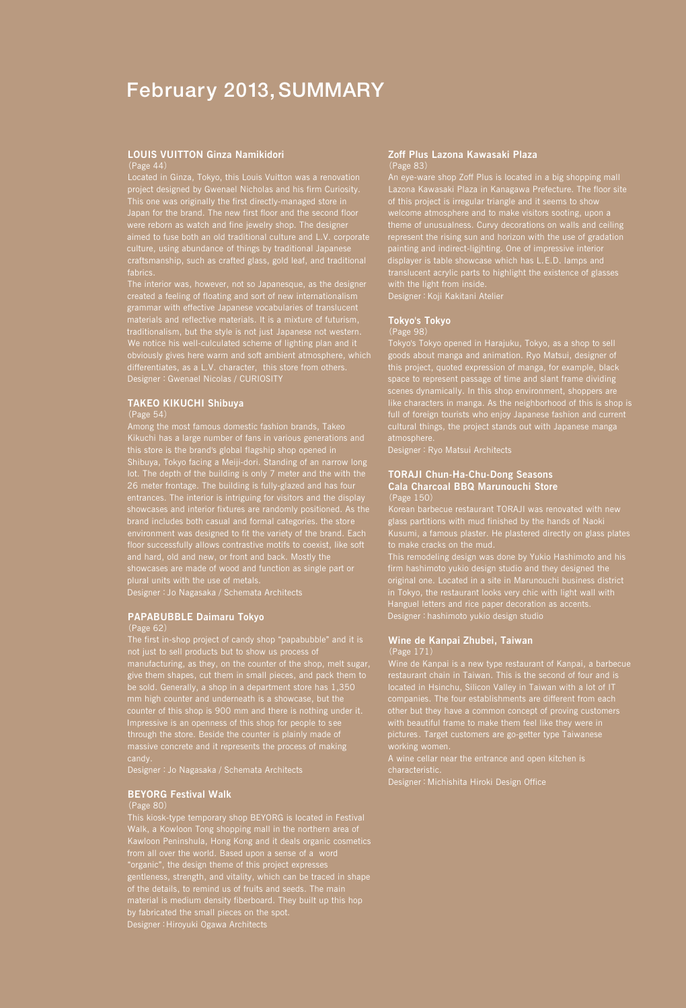# February 2013, SUMMARY

#### **LOUIS VUITTON Ginza Namikidori** (Page 44)

Located in Ginza, Tokyo, this Louis Vuitton was a renovation project designed by Gwenael Nicholas and his firm Curiosity. This one was originally the first directly-managed store in were reborn as watch and fine jewelry shop. The designer culture, using abundance of things by traditional Japanese craftsmanship, such as crafted glass, gold leaf, and traditional

The interior was, however, not so Japanesque, as the designer grammar with effective Japanese vocabularies of translucent We notice his well-culculated scheme of lighting plan and it obviously gives here warm and soft ambient atmosphere, which Designer:Gwenael Nicolas / CURIOSITY

### **TAKEO KIKUCHI Shibuya**

#### (Page 54)

Among the most famous domestic fashion brands, Takeo Kikuchi has a large number of fans in various generations and this store is the brand's global flagship shop opened in Shibuya, Tokyo facing a Meiji-dori. Standing of an narrow long lot. The depth of the building is only 7 meter and the with the 26 meter frontage. The building is fully-glazed and has four entrances. The interior is intriguing for visitors and the display brand includes both casual and formal categories. the store environment was designed to fit the variety of the brand. Each showcases are made of wood and function as single part or plural units with the use of metals. Designer:Jo Nagasaka / Schemata Architects

### **PAPABUBBLE Daimaru Tokyo**

not just to sell products but to show us process of manufacturing, as they, on the counter of the shop, melt sugar, give them shapes, cut them in small pieces, and pack them to mm high counter and underneath is a showcase, but the massive concrete and it represents the process of making

Designer:Jo Nagasaka / Schemata Architects

### **BEYORG Festival Walk**

#### (Page 80)

This kiosk-type temporary shop BEYORG is located in Festival Walk, a Kowloon Tong shopping mall in the northern area of Kawloon Peninshula, Hong Kong and it deals organic cosmetics from all over the world. Based upon a sense of a word "organic", the design theme of this project expresses gentleness, strength, and vitality, which can be traced in shape material is medium density fiberboard. They built up this hop Designer:Hiroyuki Ogawa Architects

### **Zoff Plus Lazona Kawasaki Plaza** (Page 83)

An eye-ware shop Zoff Plus is located in a big shopping mall Lazona Kawasaki Plaza in Kanagawa Prefecture. The floor site of this project is irregular triangle and it seems to show welcome atmosphere and to make visitors sooting, upon a theme of unusualness. Curvy decorations on walls and ceiling represent the rising sun and horizon with the use of gradation painting and indirect-ligjhting. One of impressive interior displayer is table showcase which has L.E.D. lamps and translucent acrylic parts to highlight the existence of glasses with the light from inside.

Designer:Koji Kakitani Atelier

#### **Tokyo's Tokyo**

#### (Page 98)

Tokyo's Tokyo opened in Harajuku, Tokyo, as a shop to sell goods about manga and animation. Ryo Matsui, designer of this project, quoted expression of manga, for example, black space to represent passage of time and slant frame dividing scenes dynamically. In this shop environment, shoppers are like characters in manga. As the neighborhood of this is shop is full of foreign tourists who enjoy Japanese fashion and current cultural things, the project stands out with Japanese manga

Designer: Ryo Matsui Architects

### **TORAJI Chun-Ha-Chu-Dong Seasons Cala Charcoal BBQ Marunouchi Store** (Page 150)

Korean barbecue restaurant TORAJI was renovated with new glass partitions with mud finished by the hands of Naoki Kusumi, a famous plaster. He plastered directly on glass plates

This remodeling design was done by Yukio Hashimoto and his firm hashimoto yukio design studio and they designed the original one. Located in a site in Marunouchi business district in Tokyo, the restaurant looks very chic with light wall with Hanguel letters and rice paper decoration as accents. Designer: hashimoto yukio design studio

#### **Wine de Kanpai Zhubei, Taiwan** (Page 171)

Designer:Michishita Hiroki Design Office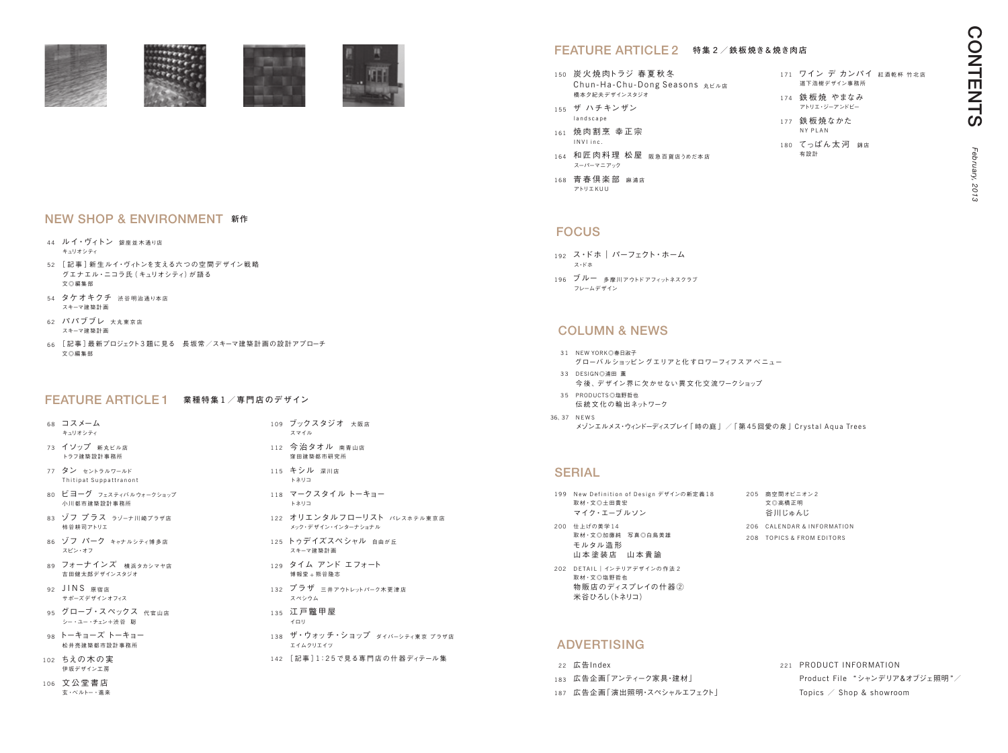オピニオン 2 橋正明 いゅんじ **NDAR & INFORMATION** 208 TOPICS & FROM EDITORS

| 199 New Definition of Design デザインの新定義18<br>取材·文◎土田貴宏<br>マイク・エーブルソン | 205 | 商空間。<br>文◎高札<br>谷川じ |
|--------------------------------------------------------------------|-----|---------------------|
| 200 仕上げの美学14                                                       |     | 206 CALEN           |

- 192 ス・ドホ | パーフェクト・ホーム ス・ドホ
- 196 ブルー 多摩川アウトドアフィットネスクラブ フレームデザイン

- 取材・文◎加藤純 写真◎白鳥美雄 モルタル 造 形 山本塗装店 山本貴諭
- 202 DETAIL | インテリアデザインの作法 2 取材・文◎塩野哲也 物販店のディスプレイの什器② 米谷ひろし(トネリコ)

# **ADVERTISING**

# FOCUS

- 31 NEW YORK◎春日淑子 グローバ ルショッピングエリアと化 すロワーフィフスア ベ ニュー
- 33 DESIGN◎浦田 薫 今 後、デザイン界に欠かせない異 文 化 交 流ワークショップ 35 PRODUCTS◎塩野哲也
- 伝統文化の輸出ネットワーク
- 36、37 N E W S メゾンエルメス・ウィンドーディスプレイ「時の庭」 /「第45回愛の泉」Crystal Aqua Trees

# **SERIAL**

- 68 コスメーム キュリオシティ
- 73 イソップ 新丸ビル店 トラフ建築設計事務所
- 77 タン セントラルワールド Thitipat Suppattranont
- 80 ビヨーグ フェスティバルウォークショップ 小川都市建築設計事務所
- 83 ゾフ プラス ラゾーナ川崎プラザ店 柿谷耕司アトリエ
- 86 ゾフ パーク キャナルシティ博多店 スピン・オフ
- 89 フォーナインズ 横浜タカシマヤ店 吉田健太郎デザインスタジオ
- 92 JINS 原宿店 サポーズデザインオフィス
- 95 グローブ・スペックス 代官山店 シー・ユー・チェン+渋谷 聡
- 98 トーキョーズ トーキョー 松井亮建築都市設計事務所
- 102 ちえの木の実 伊坂デザイン工房
- 106 文 公 堂 書 店 玄・ベルトー・進来
- 109 ブックスタジオ 大阪店 スマイル
- 112 今治タオル 南青山店 窪田建築都市研究所
- 115 キシル 深川店 トネリコ
- 118 マークスタイル トーキョー トネリコ
- 122 オリエンタルフローリスト パレスホテル東京店 メック・デザイン・インターナショナル
- 125 トゥデイズスペシャル 自由が F スキーマ建築計画
- 129 タイム アンド エフォート 博報堂 + 熊谷隆志
- 132 プラザ 三井アウトレットパーク木更津店 スペシウム
- 135 江戸鼈甲屋 イロリ
- 138 ザ・ウォッチ・ショップ ダイバーシティ東京 プラザ店 エイムクリエイツ
- 142 [記事] 1:25で見る専門店の什器ディテール集
- 44 ルイ・ヴィトン 銀座並木通り店 キュリオシティ
- 52 「記事 ] 新生ルイ・ヴィトンを支える六つの空間デザイン戦略 グエナエル・ニコラ氏( キュリオシティ)が 語る 文◎編集部
- 54 タケオキクチ 渋谷明治通り本店 スキーマ建築計画
- 62 パパブブレ <sub>大丸東京店</sub> スキーマ建築計画
- 66 [記事]最新プロジェクト3題に見る 長坂常/スキーマ建築計画の設計アプローチ 文◎編集部

### FEATURE ARTICLE 1 **業種特集** <sup>1</sup> **/専 <sup>門</sup> 店のデザイン**

- 150 炭火焼肉トラジ 春夏秋冬 Chun-Ha-Chu-Dong Seasons 丸ビル店 橋本夕紀夫デザインスタジオ 155 ザ ハチキンザン 171 ワイン デ カンパイ 紅酒乾杯 竹北店 道下浩樹デザイン事務所 174 鉄板焼 やまなみ アトリエ・ジーアンドビー
- l and s c a p e 161 焼 肉 割 烹 幸 正 宗 177 鉄板焼なかた NY PLAN
- I N V I in c 164 和匠 肉 料 理松屋 阪 急 百 貨 店うめだ本店 スーパーマニアック
- 168 青春倶楽部 麻浦店 アトリエK U U

180 てっぱん太河 錦店 有設計

- 22 広告Index
- 183 広告企画「アンティーク家具・建材」
- 187 広告企画「演出照明・スペシャルエフェクト」

221 PRODUCT INFORMATION Product File "シャンデリア&オブジェ照明 "/ Topics  $\angle$  Shop & showroom

# Column & news



# NEW SHOP & ENVIRONMENT **新作**

# FEATURE ARTICLE 2 **特集** <sup>2</sup> **/鉄板焼き**& **焼き肉店**